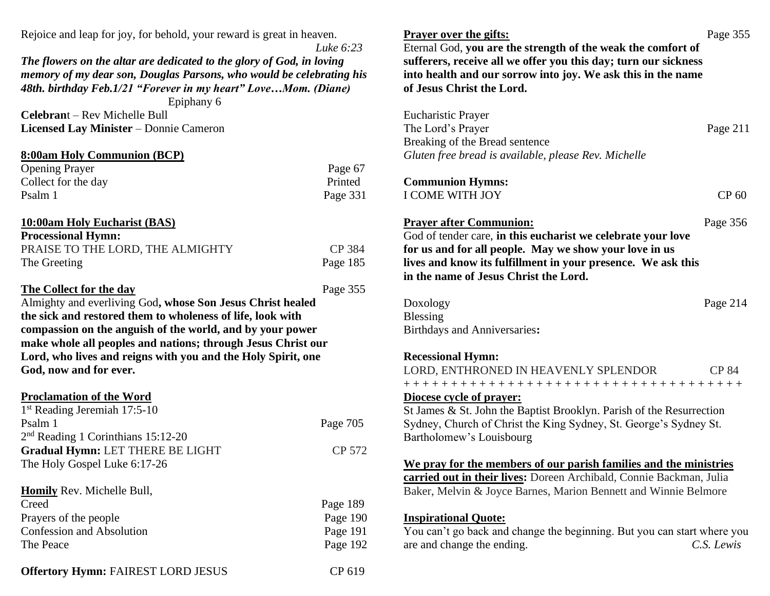Rejoice and leap for joy, for behold, your reward is great in heaven.

*Luke 6:23*

*The flowers on the altar are dedicated to the glory of God, in loving memory of my dear son, Douglas Parsons, who would be celebrating his 48th. birthday Feb.1/21 "Forever in my heart" Love…Mom. (Diane)*

Epiphany 6

**Celebran**t – Rev Michelle Bull **Licensed Lay Minister** – Donnie Cameron

#### **8:00am Holy Communion (BCP)**

| <b>Opening Prayer</b> | Page 67  |
|-----------------------|----------|
| Collect for the day   | Printed  |
| Psalm 1               | Page 331 |

#### **10:00am Holy Eucharist (BAS) Processional Hymn:**

| <b>Processional Hymn:</b>        |          |
|----------------------------------|----------|
| PRAISE TO THE LORD, THE ALMIGHTY | CP 384   |
| The Greeting                     | Page 185 |

#### **The Collect for the day** Page 355

Almighty and everliving God**, whose Son Jesus Christ healed the sick and restored them to wholeness of life, look with compassion on the anguish of the world, and by your power make whole all peoples and nations; through Jesus Christ our Lord, who lives and reigns with you and the Holy Spirit, one God, now and for ever.**

## **Proclamation of the Word**

| $1st$ Reading Jeremiah 17:5-10       |          |
|--------------------------------------|----------|
| Psalm 1                              | Page 705 |
| $2nd$ Reading 1 Corinthians 15:12-20 |          |
| Gradual Hymn: LET THERE BE LIGHT     | CP 572   |
| The Holy Gospel Luke 6:17-26         |          |
|                                      |          |

| <b>Homily</b> Rev. Michelle Bull, |          |
|-----------------------------------|----------|
| Creed                             | Page 189 |
| Prayers of the people             | Page 190 |
| <b>Confession and Absolution</b>  | Page 191 |
| The Peace                         | Page 192 |
|                                   |          |

**Prayer over the gifts:** Page 355 Eternal God, **you are the strength of the weak the comfort of sufferers, receive all we offer you this day; turn our sickness into health and our sorrow into joy. We ask this in the name of Jesus Christ the Lord.** Eucharistic Prayer The Lord's Prayer Page 211 Breaking of the Bread sentence *Gluten free bread is available, please Rev. Michelle* **Communion Hymns:** I COME WITH JOY CP 60

# **Prayer after Communion:** Page 356

God of tender care, **in this eucharist we celebrate your love for us and for all people. May we show your love in us lives and know its fulfillment in your presence. We ask this in the name of Jesus Christ the Lord.**

Doxology Page 214 Blessing Birthdays and Anniversaries**:**

## **Recessional Hymn:**

| LORD, ENTHRONED IN HEAVENLY SPLENDOR                                 | CP 84 |
|----------------------------------------------------------------------|-------|
| +++++++++++++++++++++++++++++++++++++                                |       |
| Diocese cycle of prayer:                                             |       |
| St James & St. John the Baptist Brooklyn. Parish of the Resurrection |       |
| Sydney, Church of Christ the King Sydney, St. George's Sydney St.    |       |

Sydney, Church of Christ the King Sydney, St. George's Sydney St. Bartholomew's Louisbourg

**We pray for the members of our parish families and the ministries carried out in their lives:** Doreen Archibald, Connie Backman, Julia Baker, Melvin & Joyce Barnes, Marion Bennett and Winnie Belmore

## **Inspirational Quote:**

You can't go back and change the beginning. But you can start where you are and change the ending. *C.S. Lewis*